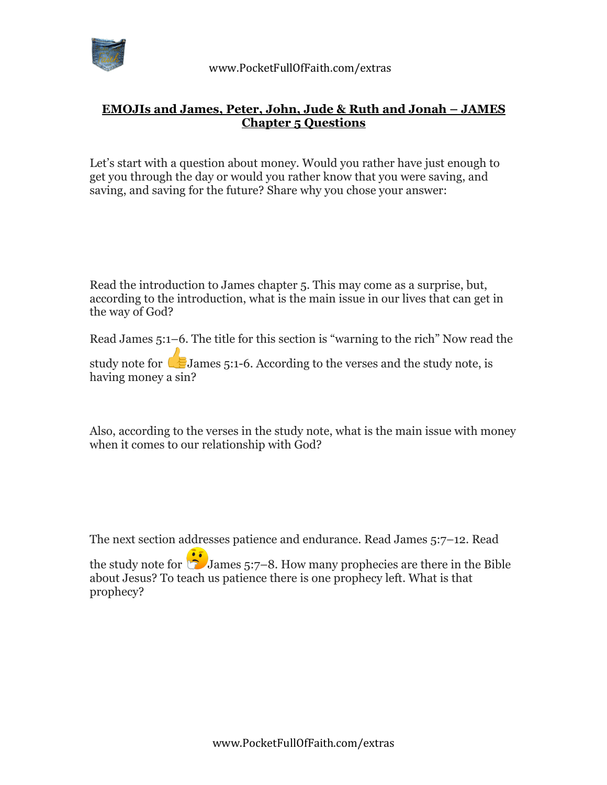

## **EMOJIs and James, Peter, John, Jude & Ruth and Jonah – JAMES Chapter 5 Questions**

Let's start with a question about money. Would you rather have just enough to get you through the day or would you rather know that you were saving, and saving, and saving for the future? Share why you chose your answer:

Read the introduction to James chapter 5. This may come as a surprise, but, according to the introduction, what is the main issue in our lives that can get in the way of God?

Read James 5:1–6. The title for this section is "warning to the rich" Now read the

study note for James 5:1-6. According to the verses and the study note, is having money a sin?

Also, according to the verses in the study note, what is the main issue with money when it comes to our relationship with God?

The next section addresses patience and endurance. Read James 5:7–12. Read the study note for  $\ddot{\bullet}$  James 5:7–8. How many prophecies are there in the Bible about Jesus? To teach us patience there is one prophecy left. What is that prophecy?